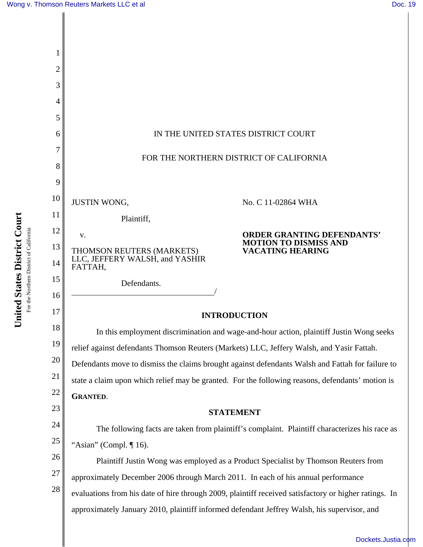

[Dockets.Justia.com](http://dockets.justia.com/)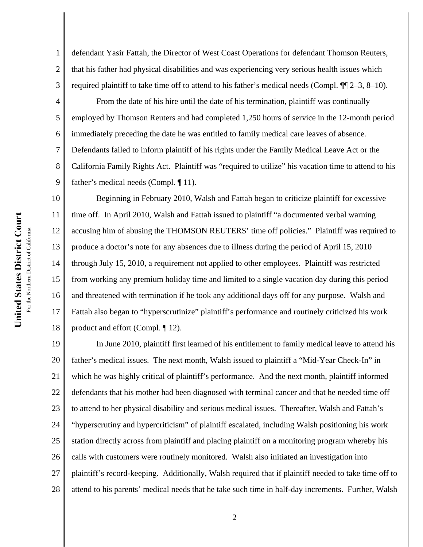2

3

7

defendant Yasir Fattah, the Director of West Coast Operations for defendant Thomson Reuters, that his father had physical disabilities and was experiencing very serious health issues which required plaintiff to take time off to attend to his father's medical needs (Compl.  $\P$ [[2–3, 8–10).

4 5 6 8 9 From the date of his hire until the date of his termination, plaintiff was continually employed by Thomson Reuters and had completed 1,250 hours of service in the 12-month period immediately preceding the date he was entitled to family medical care leaves of absence. Defendants failed to inform plaintiff of his rights under the Family Medical Leave Act or the California Family Rights Act. Plaintiff was "required to utilize" his vacation time to attend to his father's medical needs (Compl. ¶ 11).

10 11 12 13 14 15 16 17 18 Beginning in February 2010, Walsh and Fattah began to criticize plaintiff for excessive time off. In April 2010, Walsh and Fattah issued to plaintiff "a documented verbal warning accusing him of abusing the THOMSON REUTERS' time off policies." Plaintiff was required to produce a doctor's note for any absences due to illness during the period of April 15, 2010 through July 15, 2010, a requirement not applied to other employees. Plaintiff was restricted from working any premium holiday time and limited to a single vacation day during this period and threatened with termination if he took any additional days off for any purpose. Walsh and Fattah also began to "hyperscrutinize" plaintiff's performance and routinely criticized his work product and effort (Compl. ¶ 12).

19 20 21 22 23 24 25 26 27 28 In June 2010, plaintiff first learned of his entitlement to family medical leave to attend his father's medical issues. The next month, Walsh issued to plaintiff a "Mid-Year Check-In" in which he was highly critical of plaintiff's performance. And the next month, plaintiff informed defendants that his mother had been diagnosed with terminal cancer and that he needed time off to attend to her physical disability and serious medical issues. Thereafter, Walsh and Fattah's "hyperscrutiny and hypercriticism" of plaintiff escalated, including Walsh positioning his work station directly across from plaintiff and placing plaintiff on a monitoring program whereby his calls with customers were routinely monitored. Walsh also initiated an investigation into plaintiff's record-keeping. Additionally, Walsh required that if plaintiff needed to take time off to attend to his parents' medical needs that he take such time in half-day increments. Further, Walsh

2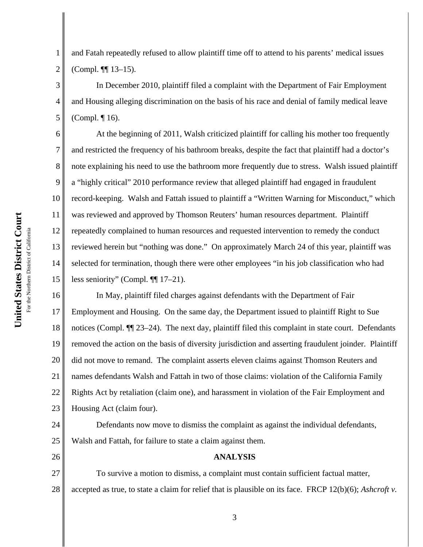4

5

6

7

8

9

10

11

12

13

14

15

1 2 and Fatah repeatedly refused to allow plaintiff time off to attend to his parents' medical issues (Compl. ¶¶ 13–15).

In December 2010, plaintiff filed a complaint with the Department of Fair Employment and Housing alleging discrimination on the basis of his race and denial of family medical leave (Compl. ¶ 16).

At the beginning of 2011, Walsh criticized plaintiff for calling his mother too frequently and restricted the frequency of his bathroom breaks, despite the fact that plaintiff had a doctor's note explaining his need to use the bathroom more frequently due to stress. Walsh issued plaintiff a "highly critical" 2010 performance review that alleged plaintiff had engaged in fraudulent record-keeping. Walsh and Fattah issued to plaintiff a "Written Warning for Misconduct," which was reviewed and approved by Thomson Reuters' human resources department. Plaintiff repeatedly complained to human resources and requested intervention to remedy the conduct reviewed herein but "nothing was done." On approximately March 24 of this year, plaintiff was selected for termination, though there were other employees "in his job classification who had less seniority" (Compl. ¶¶ 17–21).

16 17 18 19 20 21 22 23 In May, plaintiff filed charges against defendants with the Department of Fair Employment and Housing. On the same day, the Department issued to plaintiff Right to Sue notices (Compl. ¶¶ 23–24). The next day, plaintiff filed this complaint in state court. Defendants removed the action on the basis of diversity jurisdiction and asserting fraudulent joinder. Plaintiff did not move to remand. The complaint asserts eleven claims against Thomson Reuters and names defendants Walsh and Fattah in two of those claims: violation of the California Family Rights Act by retaliation (claim one), and harassment in violation of the Fair Employment and Housing Act (claim four).

24 25 Defendants now move to dismiss the complaint as against the individual defendants, Walsh and Fattah, for failure to state a claim against them.

26

27 28 To survive a motion to dismiss, a complaint must contain sufficient factual matter, accepted as true, to state a claim for relief that is plausible on its face. FRCP 12(b)(6); *Ashcroft v.*

3

**ANALYSIS**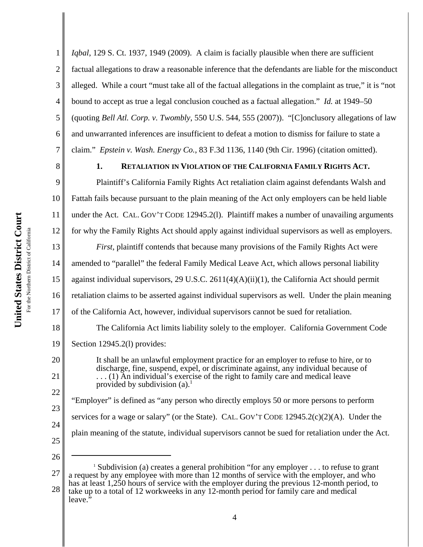2 3 4 5 6 7 *Iqbal*, 129 S. Ct. 1937, 1949 (2009). A claim is facially plausible when there are sufficient factual allegations to draw a reasonable inference that the defendants are liable for the misconduct alleged. While a court "must take all of the factual allegations in the complaint as true," it is "not bound to accept as true a legal conclusion couched as a factual allegation." *Id.* at 1949–50 (quoting *Bell Atl. Corp. v. Twombly*, 550 U.S. 544, 555 (2007)). "[C]onclusory allegations of law and unwarranted inferences are insufficient to defeat a motion to dismiss for failure to state a claim." *Epstein v. Wash. Energy Co.*, 83 F.3d 1136, 1140 (9th Cir. 1996) (citation omitted).

8

1

## **1. RETALIATION IN VIOLATION OF THE CALIFORNIA FAMILY RIGHTS ACT.**

9 10 11 12 Plaintiff's California Family Rights Act retaliation claim against defendants Walsh and Fattah fails because pursuant to the plain meaning of the Act only employers can be held liable under the Act. CAL. GOV'T CODE 12945.2(l). Plaintiff makes a number of unavailing arguments for why the Family Rights Act should apply against individual supervisors as well as employers.

13 14 15 16 17 *First*, plaintiff contends that because many provisions of the Family Rights Act were amended to "parallel" the federal Family Medical Leave Act, which allows personal liability against individual supervisors, 29 U.S.C. 2611(4)(A)(ii)(1), the California Act should permit retaliation claims to be asserted against individual supervisors as well. Under the plain meaning of the California Act, however, individual supervisors cannot be sued for retaliation.

The California Act limits liability solely to the employer. California Government Code Section 12945.2(l) provides:

19 20

It shall be an unlawful employment practice for an employer to refuse to hire, or to discharge, fine, suspend, expel, or discriminate against, any individual because of . . . (1) An individual's exercise of the right to family care and medical leave provided by subdivision  $(a)$ <sup>1</sup>

23 24 25 "Employer" is defined as "any person who directly employs 50 or more persons to perform services for a wage or salary" (or the State). CAL. GOV'T CODE  $12945.2(c)(2)(A)$ . Under the plain meaning of the statute, individual supervisors cannot be sued for retaliation under the Act.

26

18

21

22

27 28 <sup>1</sup> Subdivision (a) creates a general prohibition "for any employer . . . to refuse to grant a request by any employee with more than 12 months of service with the employer, and who has at least 1,250 hours of service with the employer during the previous 12-month period, to take up to a total of 12 workweeks in any 12-month period for family care and medical leave."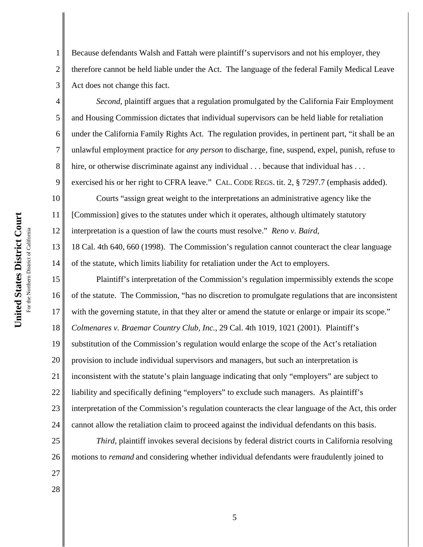2

3

4

5

6

7

8

9

14

Because defendants Walsh and Fattah were plaintiff's supervisors and not his employer, they therefore cannot be held liable under the Act. The language of the federal Family Medical Leave Act does not change this fact.

*Second*, plaintiff argues that a regulation promulgated by the California Fair Employment and Housing Commission dictates that individual supervisors can be held liable for retaliation under the California Family Rights Act. The regulation provides, in pertinent part, "it shall be an unlawful employment practice for *any person* to discharge, fine, suspend, expel, punish, refuse to hire, or otherwise discriminate against any individual . . . because that individual has . . . exercised his or her right to CFRA leave." CAL. CODE REGS. tit. 2, § 7297.7 (emphasis added).

10 11 12 Courts "assign great weight to the interpretations an administrative agency like the [Commission] gives to the statutes under which it operates, although ultimately statutory interpretation is a question of law the courts must resolve." *Reno v. Baird*,

13 18 Cal. 4th 640, 660 (1998). The Commission's regulation cannot counteract the clear language of the statute, which limits liability for retaliation under the Act to employers.

15 16 17 18 19 20 21 22 23 24 Plaintiff's interpretation of the Commission's regulation impermissibly extends the scope of the statute. The Commission, "has no discretion to promulgate regulations that are inconsistent with the governing statute, in that they alter or amend the statute or enlarge or impair its scope." *Colmenares v. Braemar Country Club, Inc.*, 29 Cal. 4th 1019, 1021 (2001). Plaintiff's substitution of the Commission's regulation would enlarge the scope of the Act's retaliation provision to include individual supervisors and managers, but such an interpretation is inconsistent with the statute's plain language indicating that only "employers" are subject to liability and specifically defining "employers" to exclude such managers. As plaintiff's interpretation of the Commission's regulation counteracts the clear language of the Act, this order cannot allow the retaliation claim to proceed against the individual defendants on this basis.

*Third*, plaintiff invokes several decisions by federal district courts in California resolving motions to *remand* and considering whether individual defendants were fraudulently joined to

27 28

25

26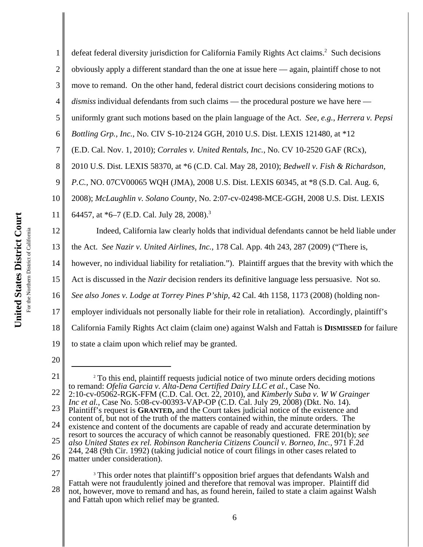1 2 3 4 5 6 7 8 9 10 11 12 13 14 15 16 17 18 defeat federal diversity jurisdiction for California Family Rights Act claims.<sup>2</sup> Such decisions obviously apply a different standard than the one at issue here — again, plaintiff chose to not move to remand. On the other hand, federal district court decisions considering motions to *dismiss* individual defendants from such claims — the procedural posture we have here uniformly grant such motions based on the plain language of the Act. *See, e.g.*, *Herrera v. Pepsi Bottling Grp., Inc.*, No. CIV S-10-2124 GGH, 2010 U.S. Dist. LEXIS 121480, at \*12 (E.D. Cal. Nov. 1, 2010); *Corrales v. United Rentals, Inc.*, No. CV 10-2520 GAF (RCx), 2010 U.S. Dist. LEXIS 58370, at \*6 (C.D. Cal. May 28, 2010); *Bedwell v. Fish & Richardson, P.C.*, NO. 07CV00065 WQH (JMA), 2008 U.S. Dist. LEXIS 60345, at \*8 (S.D. Cal. Aug. 6, 2008); *McLaughlin v. Solano County*, No. 2:07-cv-02498-MCE-GGH, 2008 U.S. Dist. LEXIS 64457, at \*6–7 (E.D. Cal. July 28, 2008).<sup>3</sup> Indeed, California law clearly holds that individual defendants cannot be held liable under the Act. *See Nazir v. United Airlines, Inc.*, 178 Cal. App. 4th 243, 287 (2009) ("There is, however, no individual liability for retaliation."). Plaintiff argues that the brevity with which the Act is discussed in the *Nazir* decision renders its definitive language less persuasive. Not so. *See also Jones v. Lodge at Torrey Pines P'ship*, 42 Cal. 4th 1158, 1173 (2008) (holding nonemployer individuals not personally liable for their role in retaliation). Accordingly, plaintiff's California Family Rights Act claim (claim one) against Walsh and Fattah is **DISMISSED** for failure

20

19

to state a claim upon which relief may be granted.

<sup>21</sup> 22 23 24 25 26 <sup>2</sup> To this end, plaintiff requests judicial notice of two minute orders deciding motions to remand: *Ofelia Garcia v. Alta-Dena Certified Dairy LLC et al.*, Case No. 2:10-cv-05062-RGK-FFM (C.D. Cal. Oct. 22, 2010), and *Kimberly Suba v. W W Grainger Inc et al.*, Case No. 5:08-cv-00393-VAP-OP (C.D. Cal. July 29, 2008) (Dkt. No. 14). Plaintiff's request is **GRANTED,** and the Court takes judicial notice of the existence and content of, but not of the truth of the matters contained within, the minute orders. The existence and content of the documents are capable of ready and accurate determination by resort to sources the accuracy of which cannot be reasonably questioned. FRE 201(b); *see also United States ex rel. Robinson Rancheria Citizens Council v. Borneo, Inc.*, 971 F.2d 244, 248 (9th Cir. 1992) (taking judicial notice of court filings in other cases related to matter under consideration).

<sup>27</sup> 28 <sup>3</sup> This order notes that plaintiff's opposition brief argues that defendants Walsh and Fattah were not fraudulently joined and therefore that removal was improper. Plaintiff did not, however, move to remand and has, as found herein, failed to state a claim against Walsh and Fattah upon which relief may be granted.